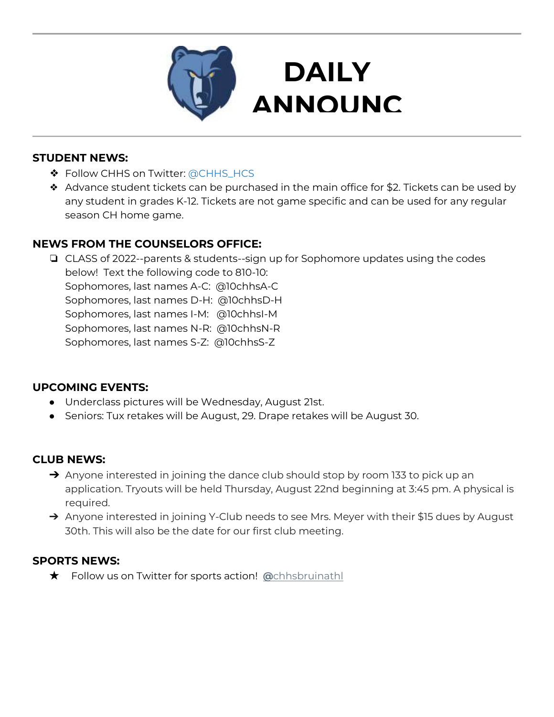

### **STUDENT NEWS:**

- ❖ Follow CHHS on Twitter: [@CHHS\\_HCS](https://twitter.com/CHHS_HCS)
- ❖ Advance student tickets can be purchased in the main office for \$2. Tickets can be used by any student in grades K-12. Tickets are not game specific and can be used for any regular season CH home game.

**DAILY** 

**EMENTS** 

## **NEWS FROM THE COUNSELORS OFFICE:**

❏ CLASS of 2022--parents & students--sign up for Sophomore updates using the codes below! Text the following code to 810-10: Sophomores, last names A-C: @10chhsA-C Sophomores, last names D-H: @10chhsD-H Sophomores, last names I-M: @10chhsI-M Sophomores, last names N-R: @10chhsN-R Sophomores, last names S-Z: @10chhsS-Z

### **UPCOMING EVENTS:**

- Underclass pictures will be Wednesday, August 21st.
- Seniors: Tux retakes will be August, 29. Drape retakes will be August 30.

### **CLUB NEWS:**

- → Anyone interested in joining the dance club should stop by room 133 to pick up an application. Tryouts will be held Thursday, August 22nd beginning at 3:45 pm. A physical is required.
- → Anyone interested in joining Y-Club needs to see Mrs. Meyer with their \$15 dues by August 30th. This will also be the date for our first club meeting.

### **SPORTS NEWS:**

★Follow us on Twitter for sports action! **[@](https://twitter.com/chhsbruinathl)**[chhsbruinathl](https://twitter.com/chhsbruinathl)